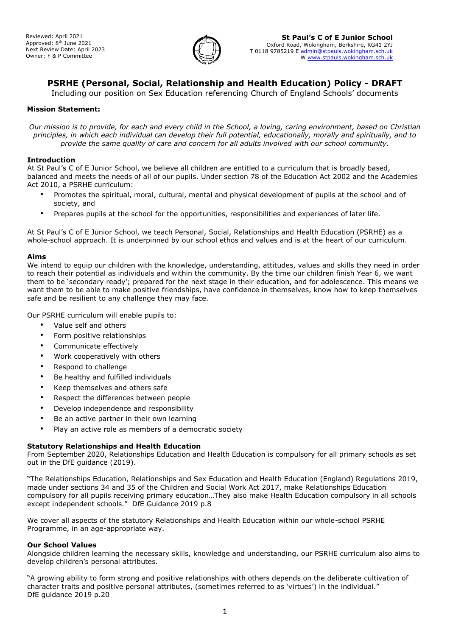

# **PSRHE (Personal, Social, Relationship and Health Education) Policy - DRAFT**

Including our position on Sex Education referencing Church of England Schools' documents

## **Mission Statement:**

*Our mission is to provide, for each and every child in the School, a loving, caring environment, based on Christian principles, in which each individual can develop their full potential, educationally, morally and spiritually, and to provide the same quality of care and concern for all adults involved with our school community.*

#### **Introduction**

At St Paul's C of E Junior School, we believe all children are entitled to a curriculum that is broadly based, balanced and meets the needs of all of our pupils. Under section 78 of the Education Act 2002 and the Academies Act 2010, a PSRHE curriculum:

- Promotes the spiritual, moral, cultural, mental and physical development of pupils at the school and of society, and
- Prepares pupils at the school for the opportunities, responsibilities and experiences of later life.

At St Paul's C of E Junior School, we teach Personal, Social, Relationships and Health Education (PSRHE) as a whole-school approach. It is underpinned by our school ethos and values and is at the heart of our curriculum.

#### **Aims**

We intend to equip our children with the knowledge, understanding, attitudes, values and skills they need in order to reach their potential as individuals and within the community. By the time our children finish Year 6, we want them to be 'secondary ready'; prepared for the next stage in their education, and for adolescence. This means we want them to be able to make positive friendships, have confidence in themselves, know how to keep themselves safe and be resilient to any challenge they may face.

Our PSRHE curriculum will enable pupils to:

- Value self and others
- Form positive relationships
- Communicate effectively
- Work cooperatively with others
- Respond to challenge
- Be healthy and fulfilled individuals
- Keep themselves and others safe
- Respect the differences between people
- Develop independence and responsibility
- Be an active partner in their own learning
- Play an active role as members of a democratic society

# **Statutory Relationships and Health Education**

From September 2020, Relationships Education and Health Education is compulsory for all primary schools as set out in the DfE guidance (2019).

"The Relationships Education, Relationships and Sex Education and Health Education (England) Regulations 2019, made under sections 34 and 35 of the Children and Social Work Act 2017, make Relationships Education compulsory for all pupils receiving primary education…They also make Health Education compulsory in all schools except independent schools." DfE Guidance 2019 p.8

We cover all aspects of the statutory Relationships and Health Education within our whole-school PSRHE Programme, in an age-appropriate way.

#### **Our School Values**

Alongside children learning the necessary skills, knowledge and understanding, our PSRHE curriculum also aims to develop children's personal attributes.

"A growing ability to form strong and positive relationships with others depends on the deliberate cultivation of character traits and positive personal attributes, (sometimes referred to as 'virtues') in the individual." DfE guidance 2019 p.20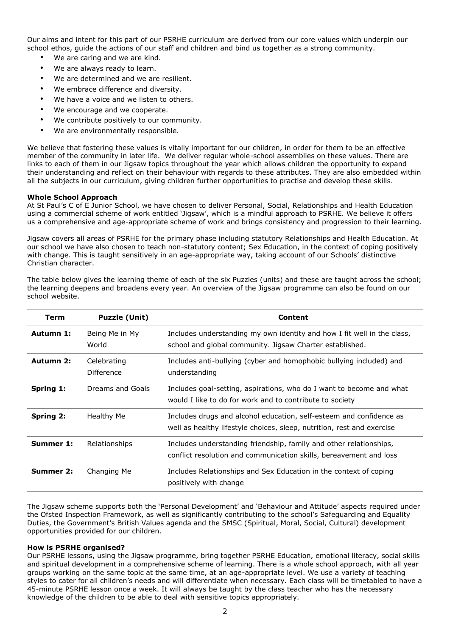Our aims and intent for this part of our PSRHE curriculum are derived from our core values which underpin our school ethos, guide the actions of our staff and children and bind us together as a strong community.

- We are caring and we are kind.
- We are always ready to learn.
- We are determined and we are resilient.
- We embrace difference and diversity.
- We have a voice and we listen to others.
- We encourage and we cooperate.
- We contribute positively to our community.
- We are environmentally responsible.

We believe that fostering these values is vitally important for our children, in order for them to be an effective member of the community in later life. We deliver regular whole-school assemblies on these values. There are links to each of them in our Jigsaw topics throughout the year which allows children the opportunity to expand their understanding and reflect on their behaviour with regards to these attributes. They are also embedded within all the subjects in our curriculum, giving children further opportunities to practise and develop these skills.

#### **Whole School Approach**

At St Paul's C of E Junior School, we have chosen to deliver Personal, Social, Relationships and Health Education using a commercial scheme of work entitled 'Jigsaw', which is a mindful approach to PSRHE. We believe it offers us a comprehensive and age-appropriate scheme of work and brings consistency and progression to their learning.

Jigsaw covers all areas of PSRHE for the primary phase including statutory Relationships and Health Education. At our school we have also chosen to teach non-statutory content; Sex Education, in the context of coping positively with change. This is taught sensitively in an age-appropriate way, taking account of our Schools' distinctive Christian character.

| <b>Term</b>      | <b>Puzzle (Unit)</b>      | Content                                                                                                                                       |
|------------------|---------------------------|-----------------------------------------------------------------------------------------------------------------------------------------------|
| Autumn 1:        | Being Me in My<br>World   | Includes understanding my own identity and how I fit well in the class,<br>school and global community. Jigsaw Charter established.           |
| Autumn 2:        | Celebrating<br>Difference | Includes anti-bullying (cyber and homophobic bullying included) and<br>understanding                                                          |
| <b>Spring 1:</b> | Dreams and Goals          | Includes goal-setting, aspirations, who do I want to become and what<br>would I like to do for work and to contribute to society              |
| <b>Spring 2:</b> | Healthy Me                | Includes drugs and alcohol education, self-esteem and confidence as<br>well as healthy lifestyle choices, sleep, nutrition, rest and exercise |
| Summer 1:        | Relationships             | Includes understanding friendship, family and other relationships,<br>conflict resolution and communication skills, bereavement and loss      |
| Summer 2:        | Changing Me               | Includes Relationships and Sex Education in the context of coping<br>positively with change                                                   |

The table below gives the learning theme of each of the six Puzzles (units) and these are taught across the school; the learning deepens and broadens every year. An overview of the Jigsaw programme can also be found on our school website.

The Jigsaw scheme supports both the 'Personal Development' and 'Behaviour and Attitude' aspects required under the Ofsted Inspection Framework, as well as significantly contributing to the school's Safeguarding and Equality Duties, the Government's British Values agenda and the SMSC (Spiritual, Moral, Social, Cultural) development opportunities provided for our children.

#### **How is PSRHE organised?**

Our PSRHE lessons, using the Jigsaw programme, bring together PSRHE Education, emotional literacy, social skills and spiritual development in a comprehensive scheme of learning. There is a whole school approach, with all year groups working on the same topic at the same time, at an age-appropriate level. We use a variety of teaching styles to cater for all children's needs and will differentiate when necessary. Each class will be timetabled to have a 45-minute PSRHE lesson once a week. It will always be taught by the class teacher who has the necessary knowledge of the children to be able to deal with sensitive topics appropriately.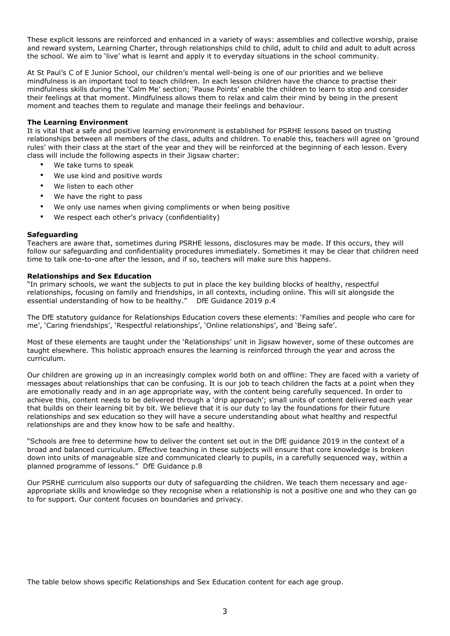These explicit lessons are reinforced and enhanced in a variety of ways: assemblies and collective worship, praise and reward system, Learning Charter, through relationships child to child, adult to child and adult to adult across the school. We aim to 'live' what is learnt and apply it to everyday situations in the school community.

At St Paul's C of E Junior School, our children's mental well-being is one of our priorities and we believe mindfulness is an important tool to teach children. In each lesson children have the chance to practise their mindfulness skills during the 'Calm Me' section; 'Pause Points' enable the children to learn to stop and consider their feelings at that moment. Mindfulness allows them to relax and calm their mind by being in the present moment and teaches them to regulate and manage their feelings and behaviour.

## **The Learning Environment**

It is vital that a safe and positive learning environment is established for PSRHE lessons based on trusting relationships between all members of the class, adults and children. To enable this, teachers will agree on 'ground rules' with their class at the start of the year and they will be reinforced at the beginning of each lesson. Every class will include the following aspects in their Jigsaw charter:

- We take turns to speak
- We use kind and positive words
- We listen to each other
- We have the right to pass
- We only use names when giving compliments or when being positive
- We respect each other's privacy (confidentiality)

#### **Safeguarding**

Teachers are aware that, sometimes during PSRHE lessons, disclosures may be made. If this occurs, they will follow our safeguarding and confidentiality procedures immediately. Sometimes it may be clear that children need time to talk one-to-one after the lesson, and if so, teachers will make sure this happens.

#### **Relationships and Sex Education**

"In primary schools, we want the subjects to put in place the key building blocks of healthy, respectful relationships, focusing on family and friendships, in all contexts, including online. This will sit alongside the essential understanding of how to be healthy." DfE Guidance 2019 p.4

The DfE statutory guidance for Relationships Education covers these elements: 'Families and people who care for me', 'Caring friendships', 'Respectful relationships', 'Online relationships', and 'Being safe'.

Most of these elements are taught under the 'Relationships' unit in Jigsaw however, some of these outcomes are taught elsewhere. This holistic approach ensures the learning is reinforced through the year and across the curriculum.

Our children are growing up in an increasingly complex world both on and offline: They are faced with a variety of messages about relationships that can be confusing. It is our job to teach children the facts at a point when they are emotionally ready and in an age appropriate way, with the content being carefully sequenced. In order to achieve this, content needs to be delivered through a 'drip approach'; small units of content delivered each year that builds on their learning bit by bit. We believe that it is our duty to lay the foundations for their future relationships and sex education so they will have a secure understanding about what healthy and respectful relationships are and they know how to be safe and healthy.

"Schools are free to determine how to deliver the content set out in the DfE guidance 2019 in the context of a broad and balanced curriculum. Effective teaching in these subjects will ensure that core knowledge is broken down into units of manageable size and communicated clearly to pupils, in a carefully sequenced way, within a planned programme of lessons." DfE Guidance p.8

Our PSRHE curriculum also supports our duty of safeguarding the children. We teach them necessary and ageappropriate skills and knowledge so they recognise when a relationship is not a positive one and who they can go to for support. Our content focuses on boundaries and privacy.

The table below shows specific Relationships and Sex Education content for each age group.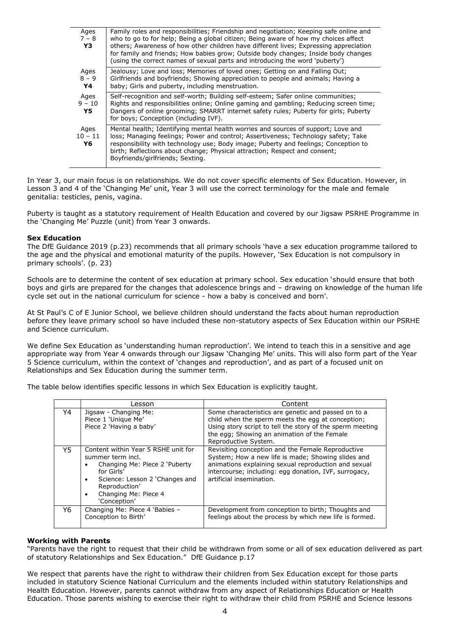| Ages<br>$7 - 8$<br>Y3   | Family roles and responsibilities; Friendship and negotiation; Keeping safe online and<br>who to go to for help; Being a global citizen; Being aware of how my choices affect<br>others; Awareness of how other children have different lives; Expressing appreciation<br>for family and friends; How babies grow; Outside body changes; Inside body changes<br>(using the correct names of sexual parts and introducing the word 'puberty') |
|-------------------------|----------------------------------------------------------------------------------------------------------------------------------------------------------------------------------------------------------------------------------------------------------------------------------------------------------------------------------------------------------------------------------------------------------------------------------------------|
| Ages<br>$8 - 9$<br>Y4   | Jealousy; Love and loss; Memories of loved ones; Getting on and Falling Out;<br>Girlfriends and boyfriends; Showing appreciation to people and animals; Having a<br>baby; Girls and puberty, including menstruation.                                                                                                                                                                                                                         |
| Ages<br>$9 - 10$<br>Y5. | Self-recognition and self-worth; Building self-esteem; Safer online communities;<br>Rights and responsibilities online; Online gaming and gambling; Reducing screen time;<br>Dangers of online grooming; SMARRT internet safety rules; Puberty for girls; Puberty<br>for boys; Conception (including IVF).                                                                                                                                   |
| Ages<br>$10 - 11$<br>Y6 | Mental health; Identifying mental health worries and sources of support; Love and<br>loss; Managing feelings; Power and control; Assertiveness; Technology safety; Take<br>responsibility with technology use; Body image; Puberty and feelings; Conception to<br>birth; Reflections about change; Physical attraction; Respect and consent;<br>Boyfriends/girlfriends; Sexting.                                                             |

In Year 3, our main focus is on relationships. We do not cover specific elements of Sex Education. However, in Lesson 3 and 4 of the 'Changing Me' unit, Year 3 will use the correct terminology for the male and female genitalia: testicles, penis, vagina.

Puberty is taught as a statutory requirement of Health Education and covered by our Jigsaw PSRHE Programme in the 'Changing Me' Puzzle (unit) from Year 3 onwards.

#### **Sex Education**

The DfE Guidance 2019 (p.23) recommends that all primary schools 'have a sex education programme tailored to the age and the physical and emotional maturity of the pupils. However, 'Sex Education is not compulsory in primary schools'. (p. 23)

Schools are to determine the content of sex education at primary school. Sex education 'should ensure that both boys and girls are prepared for the changes that adolescence brings and – drawing on knowledge of the human life cycle set out in the national curriculum for science - how a baby is conceived and born'.

At St Paul's C of E Junior School, we believe children should understand the facts about human reproduction before they leave primary school so have included these non-statutory aspects of Sex Education within our PSRHE and Science curriculum.

We define Sex Education as 'understanding human reproduction'. We intend to teach this in a sensitive and age appropriate way from Year 4 onwards through our Jigsaw 'Changing Me' units. This will also form part of the Year 5 Science curriculum, within the context of 'changes and reproduction', and as part of a focused unit on Relationships and Sex Education during the summer term.

The table below identifies specific lessons in which Sex Education is explicitly taught.

|     | Lesson                                                                                                                                                                                                                                    | Content                                                                                                                                                                                                                                              |
|-----|-------------------------------------------------------------------------------------------------------------------------------------------------------------------------------------------------------------------------------------------|------------------------------------------------------------------------------------------------------------------------------------------------------------------------------------------------------------------------------------------------------|
| Υ4  | Jigsaw - Changing Me:<br>Piece 1 'Unique Me'<br>Piece 2 'Having a baby'                                                                                                                                                                   | Some characteristics are genetic and passed on to a<br>child when the sperm meets the egg at conception;<br>Using story script to tell the story of the sperm meeting<br>the egg; Showing an animation of the Female<br>Reproductive System.         |
| Y5. | Content within Year 5 RSHE unit for<br>summer term incl.<br>Changing Me: Piece 2 'Puberty<br>$\bullet$<br>for Girls'<br>Science: Lesson 2 'Changes and<br>$\bullet$<br>Reproduction'<br>Changing Me: Piece 4<br>$\bullet$<br>'Conception' | Revisiting conception and the Female Reproductive<br>System; How a new life is made; Showing slides and<br>animations explaining sexual reproduction and sexual<br>intercourse; including: egg donation, IVF, surrogacy,<br>artificial insemination. |
| Y6  | Changing Me: Piece 4 'Babies -<br>Conception to Birth'                                                                                                                                                                                    | Development from conception to birth; Thoughts and<br>feelings about the process by which new life is formed.                                                                                                                                        |

#### **Working with Parents**

"Parents have the right to request that their child be withdrawn from some or all of sex education delivered as part of statutory Relationships and Sex Education." DfE Guidance p.17

We respect that parents have the right to withdraw their children from Sex Education except for those parts included in statutory Science National Curriculum and the elements included within statutory Relationships and Health Education. However, parents cannot withdraw from any aspect of Relationships Education or Health Education. Those parents wishing to exercise their right to withdraw their child from PSRHE and Science lessons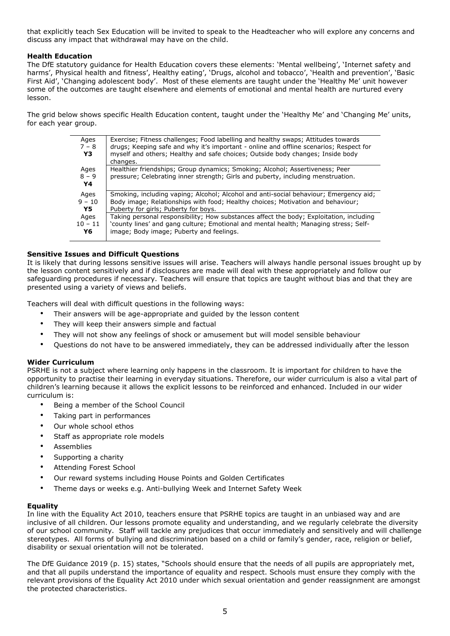that explicitly teach Sex Education will be invited to speak to the Headteacher who will explore any concerns and discuss any impact that withdrawal may have on the child.

## **Health Education**

The DfE statutory guidance for Health Education covers these elements: 'Mental wellbeing', 'Internet safety and harms', Physical health and fitness', Healthy eating', 'Drugs, alcohol and tobacco', 'Health and prevention', 'Basic First Aid', 'Changing adolescent body'. Most of these elements are taught under the 'Healthy Me' unit however some of the outcomes are taught elsewhere and elements of emotional and mental health are nurtured every lesson.

The grid below shows specific Health Education content, taught under the 'Healthy Me' and 'Changing Me' units, for each year group.

| Ages<br>$7 - 8$<br>Y3 | Exercise; Fitness challenges; Food labelling and healthy swaps; Attitudes towards<br>drugs; Keeping safe and why it's important - online and offline scenarios; Respect for<br>myself and others; Healthy and safe choices; Outside body changes; Inside body<br>changes. |
|-----------------------|---------------------------------------------------------------------------------------------------------------------------------------------------------------------------------------------------------------------------------------------------------------------------|
| Ages<br>$8 - 9$<br>Y4 | Healthier friendships; Group dynamics; Smoking; Alcohol; Assertiveness; Peer<br>pressure; Celebrating inner strength; Girls and puberty, including menstruation.                                                                                                          |
| Ages                  | Smoking, including vaping; Alcohol; Alcohol and anti-social behaviour; Emergency aid;                                                                                                                                                                                     |
| $9 - 10$              | Body image; Relationships with food; Healthy choices; Motivation and behaviour;                                                                                                                                                                                           |
| Y5                    | Puberty for girls; Puberty for boys.                                                                                                                                                                                                                                      |
| Ages                  | Taking personal responsibility; How substances affect the body; Exploitation, including                                                                                                                                                                                   |
| $10 - 11$             | 'county lines' and gang culture; Emotional and mental health; Managing stress; Self-                                                                                                                                                                                      |
| Y6                    | image; Body image; Puberty and feelings.                                                                                                                                                                                                                                  |

# **Sensitive Issues and Difficult Questions**

It is likely that during lessons sensitive issues will arise. Teachers will always handle personal issues brought up by the lesson content sensitively and if disclosures are made will deal with these appropriately and follow our safeguarding procedures if necessary. Teachers will ensure that topics are taught without bias and that they are presented using a variety of views and beliefs.

Teachers will deal with difficult questions in the following ways:

- Their answers will be age-appropriate and guided by the lesson content
- They will keep their answers simple and factual
- They will not show any feelings of shock or amusement but will model sensible behaviour
- Questions do not have to be answered immediately, they can be addressed individually after the lesson

#### **Wider Curriculum**

PSRHE is not a subject where learning only happens in the classroom. It is important for children to have the opportunity to practise their learning in everyday situations. Therefore, our wider curriculum is also a vital part of children's learning because it allows the explicit lessons to be reinforced and enhanced. Included in our wider curriculum is:

- Being a member of the School Council
- Taking part in performances
- Our whole school ethos
- Staff as appropriate role models
- **Assemblies**
- Supporting a charity
- Attending Forest School
- Our reward systems including House Points and Golden Certificates
- Theme days or weeks e.g. Anti-bullying Week and Internet Safety Week

#### **Equality**

In line with the Equality Act 2010, teachers ensure that PSRHE topics are taught in an unbiased way and are inclusive of all children. Our lessons promote equality and understanding, and we regularly celebrate the diversity of our school community. Staff will tackle any prejudices that occur immediately and sensitively and will challenge stereotypes. All forms of bullying and discrimination based on a child or family's gender, race, religion or belief, disability or sexual orientation will not be tolerated.

The DfE Guidance 2019 (p. 15) states, "Schools should ensure that the needs of all pupils are appropriately met, and that all pupils understand the importance of equality and respect. Schools must ensure they comply with the relevant provisions of the Equality Act 2010 under which sexual orientation and gender reassignment are amongst the protected characteristics.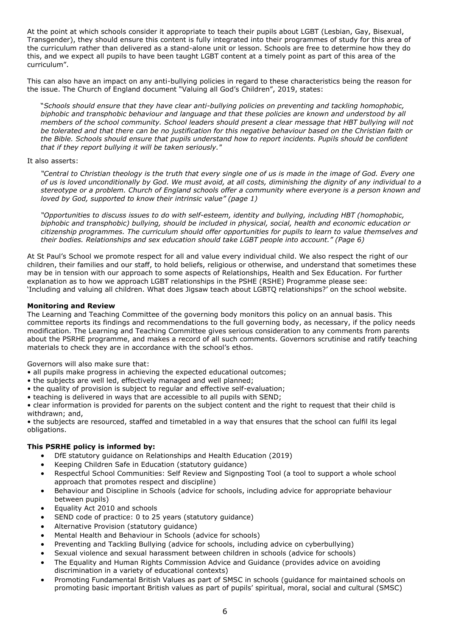At the point at which schools consider it appropriate to teach their pupils about LGBT (Lesbian, Gay, Bisexual, Transgender), they should ensure this content is fully integrated into their programmes of study for this area of the curriculum rather than delivered as a stand-alone unit or lesson. Schools are free to determine how they do this, and we expect all pupils to have been taught LGBT content at a timely point as part of this area of the curriculum".

This can also have an impact on any anti-bullying policies in regard to these characteristics being the reason for the issue. The Church of England document "Valuing all God's Children", 2019, states:

"*Schools should ensure that they have clear anti-bullying policies on preventing and tackling homophobic, biphobic and transphobic behaviour and language and that these policies are known and understood by all members of the school community. School leaders should present a clear message that HBT bullying will not be tolerated and that there can be no justification for this negative behaviour based on the Christian faith or the Bible. Schools should ensure that pupils understand how to report incidents. Pupils should be confident that if they report bullying it will be taken seriously."*

## It also asserts:

*"Central to Christian theology is the truth that every single one of us is made in the image of God. Every one of us is loved unconditionally by God. We must avoid, at all costs, diminishing the dignity of any individual to a stereotype or a problem. Church of England schools offer a community where everyone is a person known and loved by God, supported to know their intrinsic value" (page 1)*

*"Opportunities to discuss issues to do with self-esteem, identity and bullying, including HBT (homophobic, biphobic and transphobic) bullying, should be included in physical, social, health and economic education or citizenship programmes. The curriculum should offer opportunities for pupils to learn to value themselves and their bodies. Relationships and sex education should take LGBT people into account." (Page 6)*

At St Paul's School we promote respect for all and value every individual child. We also respect the right of our children, their families and our staff, to hold beliefs, religious or otherwise, and understand that sometimes these may be in tension with our approach to some aspects of Relationships, Health and Sex Education. For further explanation as to how we approach LGBT relationships in the PSHE (RSHE) Programme please see: 'Including and valuing all children. What does Jigsaw teach about LGBTQ relationships?' on the school website.

## **Monitoring and Review**

The Learning and Teaching Committee of the governing body monitors this policy on an annual basis. This committee reports its findings and recommendations to the full governing body, as necessary, if the policy needs modification. The Learning and Teaching Committee gives serious consideration to any comments from parents about the PSRHE programme, and makes a record of all such comments. Governors scrutinise and ratify teaching materials to check they are in accordance with the school's ethos.

Governors will also make sure that:

- all pupils make progress in achieving the expected educational outcomes;
- the subjects are well led, effectively managed and well planned;
- the quality of provision is subject to regular and effective self-evaluation;
- teaching is delivered in ways that are accessible to all pupils with SEND;

• clear information is provided for parents on the subject content and the right to request that their child is withdrawn; and,

• the subjects are resourced, staffed and timetabled in a way that ensures that the school can fulfil its legal obligations.

# **This PSRHE policy is informed by:**

- DfE statutory guidance on Relationships and Health Education (2019)
- Keeping Children Safe in Education (statutory guidance)
- Respectful School Communities: Self Review and Signposting Tool (a tool to support a whole school approach that promotes respect and discipline)
- Behaviour and Discipline in Schools (advice for schools, including advice for appropriate behaviour between pupils)
- Equality Act 2010 and schools
- SEND code of practice: 0 to 25 years (statutory quidance)
- Alternative Provision (statutory guidance)
- Mental Health and Behaviour in Schools (advice for schools)
- Preventing and Tackling Bullying (advice for schools, including advice on cyberbullying)
- Sexual violence and sexual harassment between children in schools (advice for schools)
- The Equality and Human Rights Commission Advice and Guidance (provides advice on avoiding discrimination in a variety of educational contexts)
- Promoting Fundamental British Values as part of SMSC in schools (guidance for maintained schools on promoting basic important British values as part of pupils' spiritual, moral, social and cultural (SMSC)